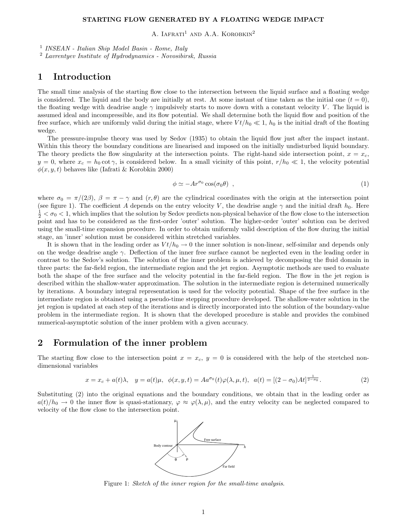#### STARTING FLOW GENERATED BY A FLOATING WEDGE IMPACT

A. LAFRATI<sup>1</sup> AND A.A. KOROBKIN<sup>2</sup>

1 INSEAN - Italian Ship Model Basin - Rome, Italy

<sup>2</sup> Lavrentyev Institute of Hydrodynamics - Novosibirsk, Russia

# 1 Introduction

The small time analysis of the starting flow close to the intersection between the liquid surface and a floating wedge is considered. The liquid and the body are initially at rest. At some instant of time taken as the initial one  $(t = 0)$ , the floating wedge with deadrise angle  $\gamma$  impulsively starts to move down with a constant velocity V. The liquid is assumed ideal and incompressible, and its flow potential. We shall determine both the liquid flow and position of the free surface, which are uniformly valid during the initial stage, where  $Vt/h_0 \ll 1$ ,  $h_0$  is the initial draft of the floating wedge.

The pressure-impulse theory was used by Sedov (1935) to obtain the liquid flow just after the impact instant. Within this theory the boundary conditions are linearised and imposed on the initially undisturbed liquid boundary. The theory predicts the flow singularity at the intersection points. The right-hand side intersection point,  $x = x_c$ ,  $y = 0$ , where  $x_c = h_0 \cot \gamma$ , is considered below. In a small vicinity of this point,  $r/h_0 \ll 1$ , the velocity potential  $\phi(x, y, t)$  behaves like (Iafrati & Korobkin 2000)

$$
\phi \simeq -Ar^{\sigma_0}\cos(\sigma_0\theta) \quad , \tag{1}
$$

where  $\sigma_0 = \pi/(2\beta)$ ,  $\beta = \pi - \gamma$  and  $(r, \theta)$  are the cylindrical coordinates with the origin at the intersection point (see figure 1). The coefficient A depends on the entry velocity V, the deadrise angle  $\gamma$  and the initial draft  $h_0$ . Here  $\frac{1}{2} < \sigma_0 < 1$ , which implies that the solution by Sedov predicts non-physical behavior of the flow close to the intersection point and has to be considered as the first-order 'outer' solution. The higher-order 'outer' solution can be derived using the small-time expansion procedure. In order to obtain uniformly valid description of the flow during the initial stage, an 'inner' solution must be considered within stretched variables.

It is shown that in the leading order as  $Vt/h_0 \rightarrow 0$  the inner solution is non-linear, self-similar and depends only on the wedge deadrise angle  $\gamma$ . Deflection of the inner free surface cannot be neglected even in the leading order in contrast to the Sedov's solution. The solution of the inner problem is achieved by decomposing the fluid domain in three parts: the far-field region, the intermediate region and the jet region. Asymptotic methods are used to evaluate both the shape of the free surface and the velocity potential in the far-field region. The flow in the jet region is described within the shallow-water approximation. The solution in the intermediate region is determined numerically by iterations. A boundary integral representation is used for the velocity potential. Shape of the free surface in the intermediate region is obtained using a pseudo-time stepping procedure developed. The shallow-water solution in the jet region is updated at each step of the iterations and is directly incorporated into the solution of the boundary-value problem in the intermediate region. It is shown that the developed procedure is stable and provides the combined numerical-asymptotic solution of the inner problem with a given accuracy.

## 2 Formulation of the inner problem

The starting flow close to the intersection point  $x = x_c$ ,  $y = 0$  is considered with the help of the stretched nondimensional variables

$$
x = x_c + a(t)\lambda, \quad y = a(t)\mu, \quad \phi(x, y, t) = A a^{\sigma_0}(t)\varphi(\lambda, \mu, t), \quad a(t) = [(2 - \sigma_0)At]^{\frac{1}{2 - \sigma_0}}.
$$
 (2)

Substituting (2) into the original equations and the boundary conditions, we obtain that in the leading order as  $a(t)/h_0 \to 0$  the inner flow is quasi-stationary,  $\varphi \approx \varphi(\lambda,\mu)$ , and the entry velocity can be neglected compared to velocity of the flow close to the intersection point.



Figure 1: Sketch of the inner region for the small-time analysis.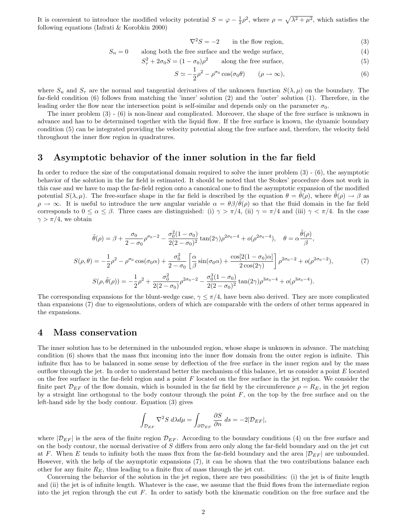It is convenient to introduce the modified velocity potential  $S = \varphi - \frac{1}{2}\rho^2$ , where  $\rho = \sqrt{\lambda^2 + \mu^2}$ , which satisfies the following equations (Iafrati & Korobkin 2000)

$$
\nabla^2 S = -2 \qquad \text{in the flow region}, \tag{3}
$$

$$
S_n = 0
$$
 along both the free surface and the wedge surface, (4)

$$
S_{\tau}^{2} + 2\sigma_{0}S = (1 - \sigma_{0})\rho^{2} \qquad \text{along the free surface}, \tag{5}
$$

$$
S \simeq -\frac{1}{2}\rho^2 - \rho^{\sigma_0}\cos(\sigma_0\theta) \qquad (\rho \to \infty),
$$
 (6)

where  $S_n$  and  $S_\tau$  are the normal and tangential derivatives of the unknown function  $S(\lambda, \mu)$  on the boundary. The far-field condition (6) follows from matching the 'inner' solution (2) and the 'outer' solution (1). Therefore, in the leading order the flow near the intersection point is self-similar and depends only on the parameter  $\sigma_0$ .

The inner problem (3) - (6) is non-linear and complicated. Moreover, the shape of the free surface is unknown in advance and has to be determined together with the liquid flow. If the free surface is known, the dynamic boundary condition (5) can be integrated providing the velocity potential along the free surface and, therefore, the velocity field throughout the inner flow region in quadratures.

### 3 Asymptotic behavior of the inner solution in the far field

In order to reduce the size of the computational domain required to solve the inner problem (3) - (6), the asymptotic behavior of the solution in the far field is estimated. It should be noted that the Stokes' procedure does not work in this case and we have to map the far-field region onto a canonical one to find the asymptotic expansion of the modified potential  $S(\lambda, \mu)$ . The free-surface shape in the far field is described by the equation  $\theta = \theta(\rho)$ , where  $\theta(\rho) \to \beta$  as  $\rho \to \infty$ . It is useful to introduce the new angular variable  $\alpha = \theta \beta / \theta(\rho)$  so that the fluid domain in the far field corresponds to  $0 \le \alpha \le \beta$ . Three cases are distinguished: (i)  $\gamma > \pi/4$ , (ii)  $\gamma = \pi/4$  and (iii)  $\gamma < \pi/4$ . In the case  $\gamma > \pi/4$ , we obtain

$$
\tilde{\theta}(\rho) = \beta + \frac{\sigma_0}{2 - \sigma_0} \rho^{\sigma_0 - 2} - \frac{\sigma_0^2 (1 - \sigma_0)}{2(2 - \sigma_0)^2} \tan(2\gamma) \rho^{2\sigma_0 - 4} + o(\rho^{2\sigma_0 - 4}), \quad \theta = \alpha \frac{\tilde{\theta}(\rho)}{\beta},
$$

$$
S(\rho, \theta) = -\frac{1}{2} \rho^2 - \rho^{\sigma_0} \cos(\sigma_0 \alpha) + \frac{\sigma_0^2}{2 - \sigma_0} \left[ \frac{\alpha}{\beta} \sin(\sigma_0 \alpha) + \frac{\cos[2(1 - \sigma_0)\alpha]}{2 \cos(2\gamma)} \right] \rho^{2\sigma_0 - 2} + o(\rho^{2\sigma_0 - 2}),
$$
(7)
$$
S(\rho, \tilde{\theta}(\rho)) = -\frac{1}{2} \rho^2 + \frac{\sigma_0^2}{2(2 - \sigma_0)} \rho^{2\sigma_0 - 2} - \frac{\sigma_0^3 (1 - \sigma_0)}{2(2 - \sigma_0)^2} \tan(2\gamma) \rho^{3\sigma_0 - 4} + o(\rho^{3\sigma_0 - 4}).
$$

The corresponding expansions for the blunt-wedge case,  $\gamma \leq \pi/4$ , have been also derived. They are more complicated than expansions (7) due to eigensolutions, orders of which are comparable with the orders of other terms appeared in the expansions.

### 4 Mass conservation

The inner solution has to be determined in the unbounded region, whose shape is unknown in advance. The matching condition (6) shows that the mass flux incoming into the inner flow domain from the outer region is infinite. This infinite flux has to be balanced in some sense by deflection of the free surface in the inner region and by the mass outflow through the jet. In order to understand better the mechanism of this balance, let us consider a point  $E$  located on the free surface in the far-field region and a point  $F$  located on the free surface in the jet region. We consider the finite part  $\mathcal{D}_{EF}$  of the flow domain, which is bounded in the far field by the circumference  $\rho = R_E$ , in the jet region by a straight line orthogonal to the body contour through the point  $F$ , on the top by the free surface and on the left-hand side by the body contour. Equation (3) gives

$$
\int_{\mathcal{D}_{EF}} \nabla^2 S \, d\lambda d\mu = \int_{\partial \mathcal{D}_{EF}} \frac{\partial S}{\partial n} \, ds = -2|\mathcal{D}_{EF}|,
$$

where  $|\mathcal{D}_{EF}|$  is the area of the finite region  $\mathcal{D}_{EF}$ . According to the boundary conditions (4) on the free surface and on the body contour, the normal derivative of S differs from zero only along the far-field boundary and on the jet cut at F. When E tends to infinity both the mass flux from the far-field boundary and the area  $|\mathcal{D}_{EF}|$  are unbounded. However, with the help of the asymptotic expansions (7), it can be shown that the two contributions balance each other for any finite  $R_E$ , thus leading to a finite flux of mass through the jet cut.

Concerning the behavior of the solution in the jet region, there are two possibilities: (i) the jet is of finite length and (ii) the jet is of infinite length. Whatever is the case, we assume that the fluid flows from the intermediate region into the jet region through the cut  $F$ . In order to satisfy both the kinematic condition on the free surface and the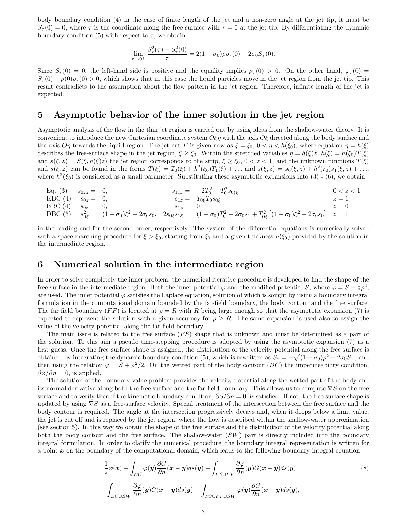body boundary condition (4) in the case of finite length of the jet and a non-zero angle at the jet tip, it must be  $S_{\tau}(0) = 0$ , where  $\tau$  is the coordinate along the free surface with  $\tau = 0$  at the jet tip. By differentiating the dynamic boundary condition (5) with respect to  $\tau$ , we obtain

$$
\lim_{\tau \to 0^+} \frac{S_{\tau}^2(\tau) - S_{\tau}^2(0)}{\tau} = 2(1 - \sigma_0)\rho \rho_{\tau}(0) - 2\sigma_0 S_{\tau}(0).
$$

Since  $S_{\tau}(0) = 0$ , the left-hand side is positive and the equality implies  $\rho_{\tau}(0) > 0$ . On the other hand,  $\varphi_{\tau}(0) =$  $S_{\tau}(0) + \rho(0)\rho_{\tau}(0) > 0$ , which shows that in this case the liquid particles move in the jet region from the jet tip. This result contradicts to the assumption about the flow pattern in the jet region. Therefore, infinite length of the jet is expected.

### 5 Asymptotic behavior of the inner solution in the jet region

Asymptotic analysis of the flow in the thin jet region is carried out by using ideas from the shallow-water theory. It is convenient to introduce the new Cartesian coordinate system  $\hat{O}\xi\eta$  with the axis  $\hat{O}\xi$  directed along the body surface and the axis  $O\eta$  towards the liquid region. The jet cut F is given now as  $\xi = \xi_0$ ,  $0 < \eta < h(\xi_0)$ , where equation  $\eta = h(\xi)$ describes the free-surface shape in the jet region,  $\xi \ge \xi_0$ . Within the stretched variables  $\eta = h(\xi)z$ ,  $h(\xi) = h(\xi_0)T(\xi)$ and  $s(\xi, z) = S(\xi, h(\xi)z)$  the jet region corresponds to the strip,  $\xi \ge \xi_0$ ,  $0 < z < 1$ , and the unknown functions  $T(\xi)$ and  $s(\xi, z)$  can be found in the forms  $T(\xi) = T_0(\xi) + h^2(\xi_0)T_1(\xi) + \dots$  and  $s(\xi, z) = s_0(\xi, z) + h^2(\xi_0)s_1(\xi, z) + \dots$ where  $h^2(\xi_0)$  is considered as a small parameter. Substituting these asymptotic expansions into (3) - (6), we obtain

Eq. (3) 
$$
s_{0zz} = 0
$$
,  $s_{1zz} = -2T_0^2 - T_0^2 s_{0\xi\xi}$   $0 < z < 1$   
\n $\text{KBC}(4)$   $s_{0z} = 0$ ,  $s_{1z} = T_{0\xi}T_0 s_{0\xi}$   $z = 1$   
\n $\text{BBC}(4)$   $s_{0z} = 0$ ,  $s_{1z} = 0$   $z = 0$   
\n $\text{DBC}(5)$   $s_{0\xi}^2 = (1 - \sigma_0)\xi^2 - 2\sigma_0 s_0$ ,  $2s_{0\xi}s_{1\xi} = (1 - \sigma_0)T_0^2 - 2\sigma_0 s_1 + T_{0\xi}^2 [(1 - \sigma_0)\xi^2 - 2\sigma_0 s_0]  $z = 1$$ 

in the leading and for the second order, respectively. The system of the differential equations is numerically solved with a space-marching procedure for  $\xi > \xi_0$ , starting from  $\xi_0$  and a given thickness  $h(\xi_0)$  provided by the solution in the intermediate region.

### 6 Numerical solution in the intermediate region

In order to solve completely the inner problem, the numerical iterative procedure is developed to find the shape of the free surface in the intermediate region. Both the inner potential  $\varphi$  and the modified potential S, where  $\varphi = S + \frac{1}{2}\rho^2$ , are used. The inner potential  $\varphi$  satisfies the Laplace equation, solution of which is sought by using a boundary integral formulation in the computational domain bounded by the far-field boundary, the body contour and the free surface. The far field boundary (FF) is located at  $\rho = R$  with R being large enough so that the asymptotic expansion (7) is expected to represent the solution with a given accuracy for  $\rho \geq R$ . The same expansion is used also to assign the value of the velocity potential along the far-field boundary.

The main issue is related to the free surface  $(FS)$  shape that is unknown and must be determined as a part of the solution. To this aim a pseudo time-stepping procedure is adopted by using the asymptotic expansion (7) as a first guess. Once the free surface shape is assigned, the distribution of the velocity potential along the free surface is obtained by integrating the dynamic boundary condition (5), which is rewritten as  $S_\tau = -\sqrt{(1-\sigma_0)\rho^2 - 2\sigma_0 S}$ , and then using the relation  $\varphi = S + \rho^2/2$ . On the wetted part of the body contour (BC) the impermeability condition,  $\partial \varphi / \partial n = 0$ , is applied.

The solution of the boundary-value problem provides the velocity potential along the wetted part of the body and its normal derivative along both the free surface and the far-field boundary. This allows us to compute ∇S on the free surface and to verify then if the kinematic boundary condition,  $\partial S/\partial n = 0$ , is satisfied. If not, the free surface shape is updated by using ∇S as a free-surface velocity. Special treatment of the intersection between the free surface and the body contour is required. The angle at the intersection progressively decays and, when it drops below a limit value, the jet is cut off and is replaced by the jet region, where the flow is described within the shallow-water approximation (see section 5). In this way we obtain the shape of the free surface and the distribution of the velocity potential along both the body contour and the free surface. The shallow-water (SW) part is directly included into the boundary integral formulation. In order to clarify the numerical procedure, the boundary integral representation is written for a point  $x$  on the boundary of the computational domain, which leads to the following boundary integral equation

$$
\frac{1}{2}\varphi(\boldsymbol{x}) + \int_{BC} \varphi(\boldsymbol{y}) \frac{\partial G}{\partial n}(\boldsymbol{x} - \boldsymbol{y}) ds(\boldsymbol{y}) - \int_{FS \cup FF} \frac{\partial \varphi}{\partial n}(\boldsymbol{y}) G(\boldsymbol{x} - \boldsymbol{y}) ds(\boldsymbol{y}) =
$$
\n
$$
\int_{BC \cup SW} \frac{\partial \varphi}{\partial n}(\boldsymbol{y}) G(\boldsymbol{x} - \boldsymbol{y}) ds(\boldsymbol{y}) - \int_{FS \cup FF \cup SW} \varphi(\boldsymbol{y}) \frac{\partial G}{\partial n}(\boldsymbol{x} - \boldsymbol{y}) ds(\boldsymbol{y}),
$$
\n(8)